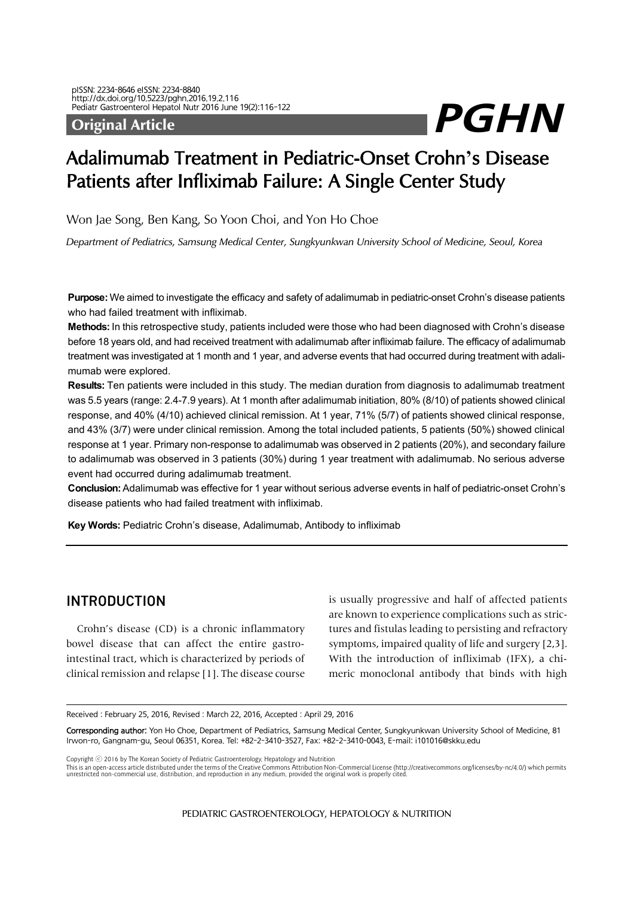# Pediatr Gastroenterol Hepatol Nutr 2016 June 19(2):116-122<br>Original Article

# Adalimumab Treatment in Pediatric-Onset Crohn**'**s Disease Patients after Infliximab Failure: A Single Center Study

Won Jae Song, Ben Kang, So Yoon Choi, and Yon Ho Choe

*Department of Pediatrics, Samsung Medical Center, Sungkyunkwan University School of Medicine, Seoul, Korea* 

**Purpose:** We aimed to investigate the efficacy and safety of adalimumab in pediatric-onset Crohn's disease patients who had failed treatment with infliximab.

**Methods:** In this retrospective study, patients included were those who had been diagnosed with Crohn's disease before 18 years old, and had received treatment with adalimumab after infliximab failure. The efficacy of adalimumab treatment was investigated at 1 month and 1 year, and adverse events that had occurred during treatment with adalimumab were explored.

**Results:** Ten patients were included in this study. The median duration from diagnosis to adalimumab treatment was 5.5 years (range: 2.4-7.9 years). At 1 month after adalimumab initiation, 80% (8/10) of patients showed clinical response, and 40% (4/10) achieved clinical remission. At 1 year, 71% (5/7) of patients showed clinical response, and 43% (3/7) were under clinical remission. Among the total included patients, 5 patients (50%) showed clinical response at 1 year. Primary non-response to adalimumab was observed in 2 patients (20%), and secondary failure to adalimumab was observed in 3 patients (30%) during 1 year treatment with adalimumab. No serious adverse event had occurred during adalimumab treatment.

**Conclusion:** Adalimumab was effective for 1 year without serious adverse events in half of pediatric-onset Crohn's disease patients who had failed treatment with infliximab.

**Key Words:** Pediatric Crohn's disease, Adalimumab, Antibody to infliximab

# INTRODUCTION

Crohn's disease (CD) is a chronic inflammatory bowel disease that can affect the entire gastrointestinal tract, which is characterized by periods of clinical remission and relapse [1]. The disease course is usually progressive and half of affected patients are known to experience complications such as strictures and fistulas leading to persisting and refractory symptoms, impaired quality of life and surgery [2,3]. With the introduction of infliximab (IFX), a chimeric monoclonal antibody that binds with high

Received: February 25, 2016, Revised: March 22, 2016, Accepted: April 29, 2016

Corresponding author: Yon Ho Choe, Department of Pediatrics, Samsung Medical Center, Sungkyunkwan University School of Medicine, 81 Irwon-ro, Gangnam-gu, Seoul 06351, Korea. Tel: +82-2-3410-3527, Fax: +82-2-3410-0043, E-mail: i101016@skku.edu

Copyright ⓒ 2016 by The Korean Society of Pediatric Gastroenterology, Hepatology and Nutrition

This is an open-access article distributed under the terms of the Creative Commons Attribution Non-Commercial License (http://creativecommons.org/licenses/by-nc/4.0/) which permits unrestricted non-commercial use, distribu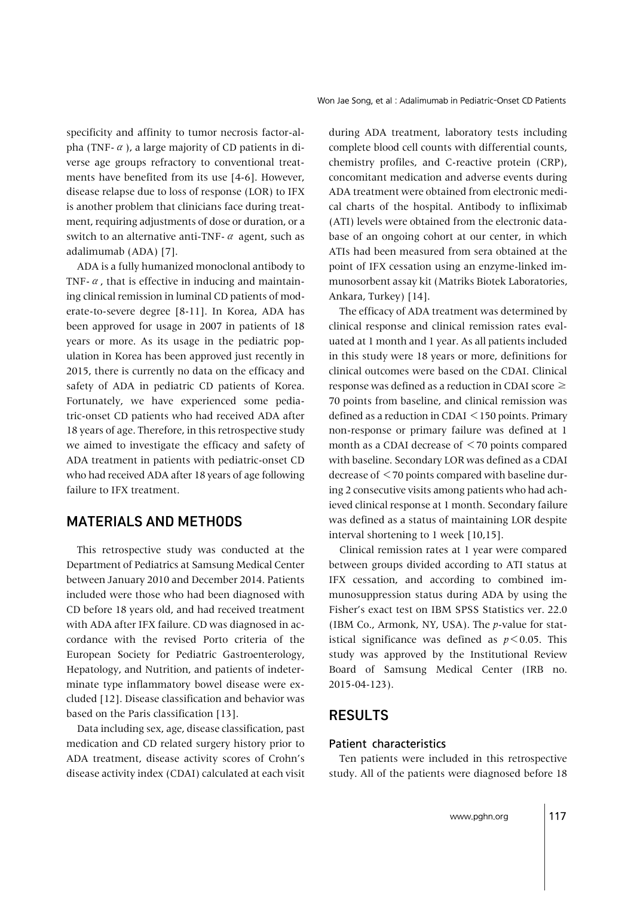specificity and affinity to tumor necrosis factor-alpha (TNF- $\alpha$ ), a large majority of CD patients in diverse age groups refractory to conventional treatments have benefited from its use [4-6]. However, disease relapse due to loss of response (LOR) to IFX is another problem that clinicians face during treatment, requiring adjustments of dose or duration, or a switch to an alternative anti-TNF- $\alpha$  agent, such as adalimumab (ADA) [7].

ADA is a fully humanized monoclonal antibody to TNF- $\alpha$ , that is effective in inducing and maintaining clinical remission in luminal CD patients of moderate-to-severe degree [8-11]. In Korea, ADA has been approved for usage in 2007 in patients of 18 years or more. As its usage in the pediatric population in Korea has been approved just recently in 2015, there is currently no data on the efficacy and safety of ADA in pediatric CD patients of Korea. Fortunately, we have experienced some pediatric-onset CD patients who had received ADA after 18 years of age. Therefore, in this retrospective study we aimed to investigate the efficacy and safety of ADA treatment in patients with pediatric-onset CD who had received ADA after 18 years of age following failure to IFX treatment.

## MATERIALS AND METHODS

This retrospective study was conducted at the Department of Pediatrics at Samsung Medical Center between January 2010 and December 2014. Patients included were those who had been diagnosed with CD before 18 years old, and had received treatment with ADA after IFX failure. CD was diagnosed in accordance with the revised Porto criteria of the European Society for Pediatric Gastroenterology, Hepatology, and Nutrition, and patients of indeterminate type inflammatory bowel disease were excluded [12]. Disease classification and behavior was based on the Paris classification [13].

Data including sex, age, disease classification, past medication and CD related surgery history prior to ADA treatment, disease activity scores of Crohn's disease activity index (CDAI) calculated at each visit

during ADA treatment, laboratory tests including complete blood cell counts with differential counts, chemistry profiles, and C-reactive protein (CRP), concomitant medication and adverse events during ADA treatment were obtained from electronic medical charts of the hospital. Antibody to infliximab (ATI) levels were obtained from the electronic database of an ongoing cohort at our center, in which ATIs had been measured from sera obtained at the point of IFX cessation using an enzyme-linked immunosorbent assay kit (Matriks Biotek Laboratories, Ankara, Turkey) [14].

The efficacy of ADA treatment was determined by clinical response and clinical remission rates evaluated at 1 month and 1 year. As all patients included in this study were 18 years or more, definitions for clinical outcomes were based on the CDAI. Clinical response was defined as a reduction in CDAI score  $\geq$ 70 points from baseline, and clinical remission was defined as a reduction in CDAI <150 points. Primary non-response or primary failure was defined at 1 month as a CDAI decrease of  $\leq$  70 points compared with baseline. Secondary LOR was defined as a CDAI decrease of <70 points compared with baseline during 2 consecutive visits among patients who had achieved clinical response at 1 month. Secondary failure was defined as a status of maintaining LOR despite interval shortening to 1 week [10,15].

Clinical remission rates at 1 year were compared between groups divided according to ATI status at IFX cessation, and according to combined immunosuppression status during ADA by using the Fisher's exact test on IBM SPSS Statistics ver. 22.0 (IBM Co., Armonk, NY, USA). The *p*-value for statistical significance was defined as  $p < 0.05$ . This study was approved by the Institutional Review Board of Samsung Medical Center (IRB no. 2015-04-123).

# RESULTS

#### Patient characteristics

Ten patients were included in this retrospective study. All of the patients were diagnosed before 18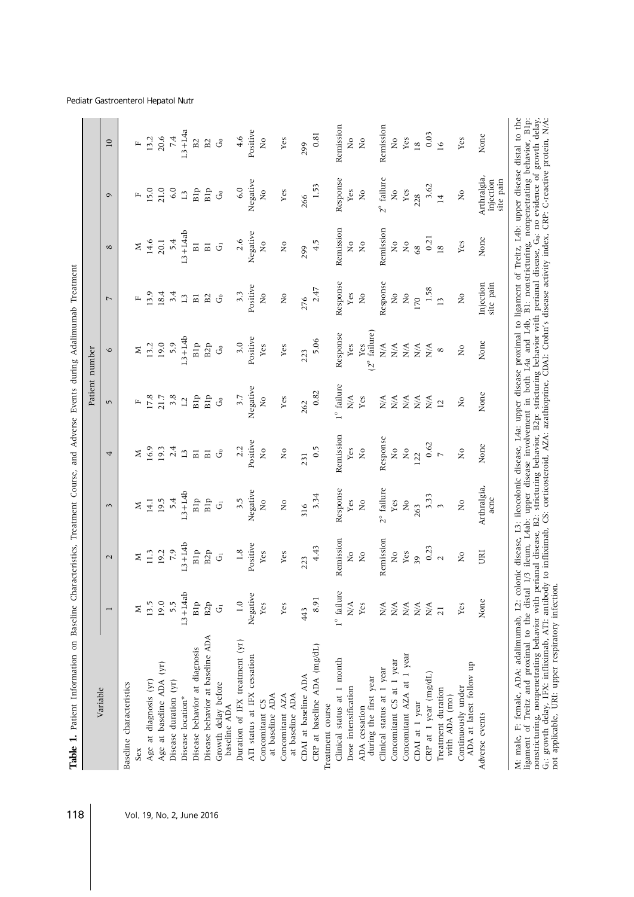| Remission<br>Remission<br>$L3+L4ab$<br>Negative<br>0.21<br>None<br>2.6<br>4.5<br>14.6<br>5.4<br>$\overline{N}$<br>$\rm \stackrel{\circ}{\rm \stackrel{\circ}{\rm \scriptscriptstyle M}}$<br>$\rm _{XO}$<br>Yes<br>20.1<br>$\rm _{Z}^{\circ}$<br>$\rm _{NO}$<br>$\overline{R}$<br>$\overline{B}$<br>$\vec{\sigma}$<br>$\overline{B}$<br>Σ<br>68<br>$\overline{18}$<br>$\infty$<br>299<br>Response<br>Response<br>Injection<br>Positive<br>1.58<br>2.47<br>13.9<br>18.4<br>3.3<br>3.4<br>$\overline{\mathsf{X}}$<br>$\overline{\mathsf{x}}$<br>Yes<br>$\rm \stackrel{\circ}{\rm \stackrel{\circ}{\rm \scriptscriptstyle M}}$<br>$\rm _{XO}$<br>$\rm _{X}^{\circ}$<br>$\rm \stackrel{\circ}{\rm \stackrel{\circ}{\rm \scriptscriptstyle M}}$<br>$\mathcal{S}$<br>B <sub>2</sub><br>$\Xi$<br>$_{\rm B1}$<br>276<br>170<br>叫<br>$\overline{ }$<br>$\overline{13}$<br>$(2^{\circ}$ failure)<br>Response<br>$L3+L4b$<br>Positive<br>5.06<br>None<br>5.9<br>Blp<br>3.0<br>19.0<br>B <sub>2</sub> p<br>13.2<br>Yes<br>Yes<br>Yes<br>N/A<br>$\mathop{\mathrm{Yes}}$<br>N/A<br>N/A<br>$\sum_{i=1}^{n}$<br>$\mathcal{G}$<br>N/A<br>$\overline{R}$<br>Σ<br>$\infty$<br>$\circ$<br>223<br>$1^{\circ}$ failure<br>Negative<br>0.82<br>None<br>3.7<br>3.8<br>Blp<br>Blp<br>17.8<br>$\frac{1}{2}$<br>Yes<br>N/A<br>Yes<br>21.7<br>N/A<br>N/A<br>N/A<br>N/A<br>N/A<br>$\rm \stackrel{\circ}{\rm \stackrel{\circ}{\rm \scriptscriptstyle M}}$<br>$\mathcal{G}^{\circ}$<br>$\overline{\mathbf{L}}$<br>$\mathbf{r}$<br>262<br>$\overline{12}$<br>$\sqrt{2}$<br>Remission<br>Response<br>Positive<br>0.62<br>None<br>16.9<br>2.4<br>2.2<br>0.5<br>$\overline{M}$<br>19.3<br>$\overline{\mathsf{X}}$<br>Yes<br>$_{\rm N_O}$<br>$\rm \stackrel{\circ}{\rm \stackrel{\circ}{\rm \scriptscriptstyle M}}$<br>$\rm _{X}^{\circ}$<br>$\rm \stackrel{\circ}{\rm \stackrel{\circ}{\rm \scriptscriptstyle M}}$<br>$\mathcal{S}$<br>$\overline{B}$<br>$\Xi$<br>$\mathbf{L}$<br>z<br>$\triangleright$<br>122<br>4<br>231<br>Arthralgia,<br>$2^{\circ}$ failure<br>Response<br>Negative<br>$L3+L4b$<br>3.34<br>3.33<br>B1p<br>Blp<br>19.5<br>5.4<br>3.5<br>$\frac{1}{2}$<br>Yes<br>14.1<br>Yes<br>$\mathop{\rm S}\nolimits$<br>$\tilde{z}$<br>$\mathop{\mathsf{S}}$<br>$\stackrel{\mathtt{o}}{\mathtt{x}}$<br>$\vec{5}$<br>z<br>316<br>263<br>$\sim$<br>3<br>Remission<br>Remission<br>$L3+L4b$<br>Positive<br>4.43<br>0.23<br>Вlp<br>7.9<br>B2p<br>1.8<br>11.3<br>19.2<br>$\rm _{X}^{\circ}$<br>URI<br>Yes<br>Yes<br>Yes<br>$\rm _{XO}$<br>$\rm _{XO}$<br>$\rm _{Z}^{\circ}$<br>$\vec{5}$<br>z<br>39<br>$\mathbf 2$<br>223<br>$\sim$<br>$L3+LAab$<br>Negative<br>$1^{\circ}$ failure<br>8.91<br>None<br>B1p<br>$\overline{1.0}$<br>5.5<br>19.0<br>13.5<br>B <sub>2</sub> p<br>Yes<br>$\mathbf{N}/\mathbf{A}$<br>Yes<br>Yes<br>N/A<br>N/A<br>N/A<br>N/A<br>N/A<br>Yes<br>$\vec{5}$<br>Σ<br>443<br>$\overline{21}$<br>Disease behavior at baseline ADA<br>Duration of IFX treatment (yr)<br>CRP at baseline ADA (mg/dL)<br>Disease behavior at diagnosis<br>Concomitant AZA at 1 year<br>ATI status at IFX cessation<br>Clinical status at 1 month<br>Concomitant CS at 1 year<br>Age at baseline ADA (yr)<br>ADA at latest follow up<br>Clinical status at 1 year<br>CRP at 1 year (mg/dL)<br>CDAI at baseline ADA<br>during the first year<br>Age at diagnosis (yr)<br>Disease duration (yr)<br>Growth delay before<br>Baseline characteristics<br>Dose intensification<br>Continuously under<br>Treatment duration<br>at baseline ADA<br>Concomitant AZA<br>at baseline ADA<br>with ADA (mo)<br>Disease location*<br>Concomitant CS<br>CDAI at 1 year<br>Treatment course<br>baseline ADA<br>ADA cessation<br>Adverse events<br>Sex |          |  |      |  | Patient number |           |                                       |                         |
|----------------------------------------------------------------------------------------------------------------------------------------------------------------------------------------------------------------------------------------------------------------------------------------------------------------------------------------------------------------------------------------------------------------------------------------------------------------------------------------------------------------------------------------------------------------------------------------------------------------------------------------------------------------------------------------------------------------------------------------------------------------------------------------------------------------------------------------------------------------------------------------------------------------------------------------------------------------------------------------------------------------------------------------------------------------------------------------------------------------------------------------------------------------------------------------------------------------------------------------------------------------------------------------------------------------------------------------------------------------------------------------------------------------------------------------------------------------------------------------------------------------------------------------------------------------------------------------------------------------------------------------------------------------------------------------------------------------------------------------------------------------------------------------------------------------------------------------------------------------------------------------------------------------------------------------------------------------------------------------------------------------------------------------------------------------------------------------------------------------------------------------------------------------------------------------------------------------------------------------------------------------------------------------------------------------------------------------------------------------------------------------------------------------------------------------------------------------------------------------------------------------------------------------------------------------------------------------------------------------------------------------------------------------------------------------------------------------------------------------------------------------------------------------------------------------------------------------------------------------------------------------------------------------------------------------------------------------------------------------------------------------------------------------------------------------------------------------------------------------------------------------------------------------------------------------------------------------------------------------------------------------------------------------------------------------------------------------------------------------------------------------------------------------------------------------------------------------------------------------------------------------------------------------------------------------------------------------------------------------------------------------------------------------------------------------------------|----------|--|------|--|----------------|-----------|---------------------------------------|-------------------------|
|                                                                                                                                                                                                                                                                                                                                                                                                                                                                                                                                                                                                                                                                                                                                                                                                                                                                                                                                                                                                                                                                                                                                                                                                                                                                                                                                                                                                                                                                                                                                                                                                                                                                                                                                                                                                                                                                                                                                                                                                                                                                                                                                                                                                                                                                                                                                                                                                                                                                                                                                                                                                                                                                                                                                                                                                                                                                                                                                                                                                                                                                                                                                                                                                                                                                                                                                                                                                                                                                                                                                                                                                                                                                                                    | Variable |  |      |  |                |           | $\sigma$                              | $\overline{10}$         |
|                                                                                                                                                                                                                                                                                                                                                                                                                                                                                                                                                                                                                                                                                                                                                                                                                                                                                                                                                                                                                                                                                                                                                                                                                                                                                                                                                                                                                                                                                                                                                                                                                                                                                                                                                                                                                                                                                                                                                                                                                                                                                                                                                                                                                                                                                                                                                                                                                                                                                                                                                                                                                                                                                                                                                                                                                                                                                                                                                                                                                                                                                                                                                                                                                                                                                                                                                                                                                                                                                                                                                                                                                                                                                                    |          |  |      |  |                |           |                                       |                         |
|                                                                                                                                                                                                                                                                                                                                                                                                                                                                                                                                                                                                                                                                                                                                                                                                                                                                                                                                                                                                                                                                                                                                                                                                                                                                                                                                                                                                                                                                                                                                                                                                                                                                                                                                                                                                                                                                                                                                                                                                                                                                                                                                                                                                                                                                                                                                                                                                                                                                                                                                                                                                                                                                                                                                                                                                                                                                                                                                                                                                                                                                                                                                                                                                                                                                                                                                                                                                                                                                                                                                                                                                                                                                                                    |          |  |      |  |                |           | 叫                                     | $\mathbf{r}$            |
|                                                                                                                                                                                                                                                                                                                                                                                                                                                                                                                                                                                                                                                                                                                                                                                                                                                                                                                                                                                                                                                                                                                                                                                                                                                                                                                                                                                                                                                                                                                                                                                                                                                                                                                                                                                                                                                                                                                                                                                                                                                                                                                                                                                                                                                                                                                                                                                                                                                                                                                                                                                                                                                                                                                                                                                                                                                                                                                                                                                                                                                                                                                                                                                                                                                                                                                                                                                                                                                                                                                                                                                                                                                                                                    |          |  |      |  |                |           | 15.0                                  | 13.2                    |
|                                                                                                                                                                                                                                                                                                                                                                                                                                                                                                                                                                                                                                                                                                                                                                                                                                                                                                                                                                                                                                                                                                                                                                                                                                                                                                                                                                                                                                                                                                                                                                                                                                                                                                                                                                                                                                                                                                                                                                                                                                                                                                                                                                                                                                                                                                                                                                                                                                                                                                                                                                                                                                                                                                                                                                                                                                                                                                                                                                                                                                                                                                                                                                                                                                                                                                                                                                                                                                                                                                                                                                                                                                                                                                    |          |  |      |  |                |           | 21.0                                  | 20.6                    |
|                                                                                                                                                                                                                                                                                                                                                                                                                                                                                                                                                                                                                                                                                                                                                                                                                                                                                                                                                                                                                                                                                                                                                                                                                                                                                                                                                                                                                                                                                                                                                                                                                                                                                                                                                                                                                                                                                                                                                                                                                                                                                                                                                                                                                                                                                                                                                                                                                                                                                                                                                                                                                                                                                                                                                                                                                                                                                                                                                                                                                                                                                                                                                                                                                                                                                                                                                                                                                                                                                                                                                                                                                                                                                                    |          |  |      |  |                |           | 6.0                                   | 7.4                     |
|                                                                                                                                                                                                                                                                                                                                                                                                                                                                                                                                                                                                                                                                                                                                                                                                                                                                                                                                                                                                                                                                                                                                                                                                                                                                                                                                                                                                                                                                                                                                                                                                                                                                                                                                                                                                                                                                                                                                                                                                                                                                                                                                                                                                                                                                                                                                                                                                                                                                                                                                                                                                                                                                                                                                                                                                                                                                                                                                                                                                                                                                                                                                                                                                                                                                                                                                                                                                                                                                                                                                                                                                                                                                                                    |          |  |      |  |                |           | $\mathbf{L}^2$                        | $L3+LAa$                |
|                                                                                                                                                                                                                                                                                                                                                                                                                                                                                                                                                                                                                                                                                                                                                                                                                                                                                                                                                                                                                                                                                                                                                                                                                                                                                                                                                                                                                                                                                                                                                                                                                                                                                                                                                                                                                                                                                                                                                                                                                                                                                                                                                                                                                                                                                                                                                                                                                                                                                                                                                                                                                                                                                                                                                                                                                                                                                                                                                                                                                                                                                                                                                                                                                                                                                                                                                                                                                                                                                                                                                                                                                                                                                                    |          |  |      |  |                |           | Blp                                   | B2                      |
|                                                                                                                                                                                                                                                                                                                                                                                                                                                                                                                                                                                                                                                                                                                                                                                                                                                                                                                                                                                                                                                                                                                                                                                                                                                                                                                                                                                                                                                                                                                                                                                                                                                                                                                                                                                                                                                                                                                                                                                                                                                                                                                                                                                                                                                                                                                                                                                                                                                                                                                                                                                                                                                                                                                                                                                                                                                                                                                                                                                                                                                                                                                                                                                                                                                                                                                                                                                                                                                                                                                                                                                                                                                                                                    |          |  |      |  |                |           | Blp                                   | $\mathbf{B}2$           |
|                                                                                                                                                                                                                                                                                                                                                                                                                                                                                                                                                                                                                                                                                                                                                                                                                                                                                                                                                                                                                                                                                                                                                                                                                                                                                                                                                                                                                                                                                                                                                                                                                                                                                                                                                                                                                                                                                                                                                                                                                                                                                                                                                                                                                                                                                                                                                                                                                                                                                                                                                                                                                                                                                                                                                                                                                                                                                                                                                                                                                                                                                                                                                                                                                                                                                                                                                                                                                                                                                                                                                                                                                                                                                                    |          |  |      |  |                |           | $\mathcal{S}$                         | $\mathcal{G}$           |
|                                                                                                                                                                                                                                                                                                                                                                                                                                                                                                                                                                                                                                                                                                                                                                                                                                                                                                                                                                                                                                                                                                                                                                                                                                                                                                                                                                                                                                                                                                                                                                                                                                                                                                                                                                                                                                                                                                                                                                                                                                                                                                                                                                                                                                                                                                                                                                                                                                                                                                                                                                                                                                                                                                                                                                                                                                                                                                                                                                                                                                                                                                                                                                                                                                                                                                                                                                                                                                                                                                                                                                                                                                                                                                    |          |  |      |  |                |           | 6.0                                   | 4.6                     |
|                                                                                                                                                                                                                                                                                                                                                                                                                                                                                                                                                                                                                                                                                                                                                                                                                                                                                                                                                                                                                                                                                                                                                                                                                                                                                                                                                                                                                                                                                                                                                                                                                                                                                                                                                                                                                                                                                                                                                                                                                                                                                                                                                                                                                                                                                                                                                                                                                                                                                                                                                                                                                                                                                                                                                                                                                                                                                                                                                                                                                                                                                                                                                                                                                                                                                                                                                                                                                                                                                                                                                                                                                                                                                                    |          |  |      |  |                |           | Negative                              | Positive                |
|                                                                                                                                                                                                                                                                                                                                                                                                                                                                                                                                                                                                                                                                                                                                                                                                                                                                                                                                                                                                                                                                                                                                                                                                                                                                                                                                                                                                                                                                                                                                                                                                                                                                                                                                                                                                                                                                                                                                                                                                                                                                                                                                                                                                                                                                                                                                                                                                                                                                                                                                                                                                                                                                                                                                                                                                                                                                                                                                                                                                                                                                                                                                                                                                                                                                                                                                                                                                                                                                                                                                                                                                                                                                                                    |          |  |      |  |                |           | $\overline{\mathsf{X}}$               | $\tilde{z}$             |
|                                                                                                                                                                                                                                                                                                                                                                                                                                                                                                                                                                                                                                                                                                                                                                                                                                                                                                                                                                                                                                                                                                                                                                                                                                                                                                                                                                                                                                                                                                                                                                                                                                                                                                                                                                                                                                                                                                                                                                                                                                                                                                                                                                                                                                                                                                                                                                                                                                                                                                                                                                                                                                                                                                                                                                                                                                                                                                                                                                                                                                                                                                                                                                                                                                                                                                                                                                                                                                                                                                                                                                                                                                                                                                    |          |  |      |  |                |           | Yes                                   | $_{\rm Yes}$            |
|                                                                                                                                                                                                                                                                                                                                                                                                                                                                                                                                                                                                                                                                                                                                                                                                                                                                                                                                                                                                                                                                                                                                                                                                                                                                                                                                                                                                                                                                                                                                                                                                                                                                                                                                                                                                                                                                                                                                                                                                                                                                                                                                                                                                                                                                                                                                                                                                                                                                                                                                                                                                                                                                                                                                                                                                                                                                                                                                                                                                                                                                                                                                                                                                                                                                                                                                                                                                                                                                                                                                                                                                                                                                                                    |          |  |      |  |                |           | 266                                   | 299                     |
|                                                                                                                                                                                                                                                                                                                                                                                                                                                                                                                                                                                                                                                                                                                                                                                                                                                                                                                                                                                                                                                                                                                                                                                                                                                                                                                                                                                                                                                                                                                                                                                                                                                                                                                                                                                                                                                                                                                                                                                                                                                                                                                                                                                                                                                                                                                                                                                                                                                                                                                                                                                                                                                                                                                                                                                                                                                                                                                                                                                                                                                                                                                                                                                                                                                                                                                                                                                                                                                                                                                                                                                                                                                                                                    |          |  |      |  |                |           | 1.53                                  | 0.81                    |
|                                                                                                                                                                                                                                                                                                                                                                                                                                                                                                                                                                                                                                                                                                                                                                                                                                                                                                                                                                                                                                                                                                                                                                                                                                                                                                                                                                                                                                                                                                                                                                                                                                                                                                                                                                                                                                                                                                                                                                                                                                                                                                                                                                                                                                                                                                                                                                                                                                                                                                                                                                                                                                                                                                                                                                                                                                                                                                                                                                                                                                                                                                                                                                                                                                                                                                                                                                                                                                                                                                                                                                                                                                                                                                    |          |  |      |  |                |           |                                       |                         |
|                                                                                                                                                                                                                                                                                                                                                                                                                                                                                                                                                                                                                                                                                                                                                                                                                                                                                                                                                                                                                                                                                                                                                                                                                                                                                                                                                                                                                                                                                                                                                                                                                                                                                                                                                                                                                                                                                                                                                                                                                                                                                                                                                                                                                                                                                                                                                                                                                                                                                                                                                                                                                                                                                                                                                                                                                                                                                                                                                                                                                                                                                                                                                                                                                                                                                                                                                                                                                                                                                                                                                                                                                                                                                                    |          |  |      |  |                |           | Response                              | Remission               |
|                                                                                                                                                                                                                                                                                                                                                                                                                                                                                                                                                                                                                                                                                                                                                                                                                                                                                                                                                                                                                                                                                                                                                                                                                                                                                                                                                                                                                                                                                                                                                                                                                                                                                                                                                                                                                                                                                                                                                                                                                                                                                                                                                                                                                                                                                                                                                                                                                                                                                                                                                                                                                                                                                                                                                                                                                                                                                                                                                                                                                                                                                                                                                                                                                                                                                                                                                                                                                                                                                                                                                                                                                                                                                                    |          |  |      |  |                |           | Yes                                   | $\overline{\mathsf{x}}$ |
|                                                                                                                                                                                                                                                                                                                                                                                                                                                                                                                                                                                                                                                                                                                                                                                                                                                                                                                                                                                                                                                                                                                                                                                                                                                                                                                                                                                                                                                                                                                                                                                                                                                                                                                                                                                                                                                                                                                                                                                                                                                                                                                                                                                                                                                                                                                                                                                                                                                                                                                                                                                                                                                                                                                                                                                                                                                                                                                                                                                                                                                                                                                                                                                                                                                                                                                                                                                                                                                                                                                                                                                                                                                                                                    |          |  |      |  |                |           | $\stackrel{\circ}{\phantom{}_{\sim}}$ | $\mathop{\mathsf{S}}$   |
|                                                                                                                                                                                                                                                                                                                                                                                                                                                                                                                                                                                                                                                                                                                                                                                                                                                                                                                                                                                                                                                                                                                                                                                                                                                                                                                                                                                                                                                                                                                                                                                                                                                                                                                                                                                                                                                                                                                                                                                                                                                                                                                                                                                                                                                                                                                                                                                                                                                                                                                                                                                                                                                                                                                                                                                                                                                                                                                                                                                                                                                                                                                                                                                                                                                                                                                                                                                                                                                                                                                                                                                                                                                                                                    |          |  |      |  |                |           | $2^{\circ}$ failure                   | Remission               |
|                                                                                                                                                                                                                                                                                                                                                                                                                                                                                                                                                                                                                                                                                                                                                                                                                                                                                                                                                                                                                                                                                                                                                                                                                                                                                                                                                                                                                                                                                                                                                                                                                                                                                                                                                                                                                                                                                                                                                                                                                                                                                                                                                                                                                                                                                                                                                                                                                                                                                                                                                                                                                                                                                                                                                                                                                                                                                                                                                                                                                                                                                                                                                                                                                                                                                                                                                                                                                                                                                                                                                                                                                                                                                                    |          |  |      |  |                |           | $\overline{R}$                        | $\overline{\mathsf{X}}$ |
|                                                                                                                                                                                                                                                                                                                                                                                                                                                                                                                                                                                                                                                                                                                                                                                                                                                                                                                                                                                                                                                                                                                                                                                                                                                                                                                                                                                                                                                                                                                                                                                                                                                                                                                                                                                                                                                                                                                                                                                                                                                                                                                                                                                                                                                                                                                                                                                                                                                                                                                                                                                                                                                                                                                                                                                                                                                                                                                                                                                                                                                                                                                                                                                                                                                                                                                                                                                                                                                                                                                                                                                                                                                                                                    |          |  |      |  |                |           | Yes                                   | Yes                     |
|                                                                                                                                                                                                                                                                                                                                                                                                                                                                                                                                                                                                                                                                                                                                                                                                                                                                                                                                                                                                                                                                                                                                                                                                                                                                                                                                                                                                                                                                                                                                                                                                                                                                                                                                                                                                                                                                                                                                                                                                                                                                                                                                                                                                                                                                                                                                                                                                                                                                                                                                                                                                                                                                                                                                                                                                                                                                                                                                                                                                                                                                                                                                                                                                                                                                                                                                                                                                                                                                                                                                                                                                                                                                                                    |          |  |      |  |                |           | 228                                   | $\overline{18}$         |
|                                                                                                                                                                                                                                                                                                                                                                                                                                                                                                                                                                                                                                                                                                                                                                                                                                                                                                                                                                                                                                                                                                                                                                                                                                                                                                                                                                                                                                                                                                                                                                                                                                                                                                                                                                                                                                                                                                                                                                                                                                                                                                                                                                                                                                                                                                                                                                                                                                                                                                                                                                                                                                                                                                                                                                                                                                                                                                                                                                                                                                                                                                                                                                                                                                                                                                                                                                                                                                                                                                                                                                                                                                                                                                    |          |  |      |  |                |           | 3.62                                  | 0.03                    |
|                                                                                                                                                                                                                                                                                                                                                                                                                                                                                                                                                                                                                                                                                                                                                                                                                                                                                                                                                                                                                                                                                                                                                                                                                                                                                                                                                                                                                                                                                                                                                                                                                                                                                                                                                                                                                                                                                                                                                                                                                                                                                                                                                                                                                                                                                                                                                                                                                                                                                                                                                                                                                                                                                                                                                                                                                                                                                                                                                                                                                                                                                                                                                                                                                                                                                                                                                                                                                                                                                                                                                                                                                                                                                                    |          |  |      |  |                |           | $\overline{14}$                       | $\overline{16}$         |
|                                                                                                                                                                                                                                                                                                                                                                                                                                                                                                                                                                                                                                                                                                                                                                                                                                                                                                                                                                                                                                                                                                                                                                                                                                                                                                                                                                                                                                                                                                                                                                                                                                                                                                                                                                                                                                                                                                                                                                                                                                                                                                                                                                                                                                                                                                                                                                                                                                                                                                                                                                                                                                                                                                                                                                                                                                                                                                                                                                                                                                                                                                                                                                                                                                                                                                                                                                                                                                                                                                                                                                                                                                                                                                    |          |  |      |  |                |           | $\stackrel{\mathtt{o}}{\mathtt{x}}$   | Yes                     |
|                                                                                                                                                                                                                                                                                                                                                                                                                                                                                                                                                                                                                                                                                                                                                                                                                                                                                                                                                                                                                                                                                                                                                                                                                                                                                                                                                                                                                                                                                                                                                                                                                                                                                                                                                                                                                                                                                                                                                                                                                                                                                                                                                                                                                                                                                                                                                                                                                                                                                                                                                                                                                                                                                                                                                                                                                                                                                                                                                                                                                                                                                                                                                                                                                                                                                                                                                                                                                                                                                                                                                                                                                                                                                                    |          |  | acne |  |                | site pain | Arthralgia,<br>site pain<br>injection | None                    |

#### Pediatr Gastroenterol Hepatol Nutr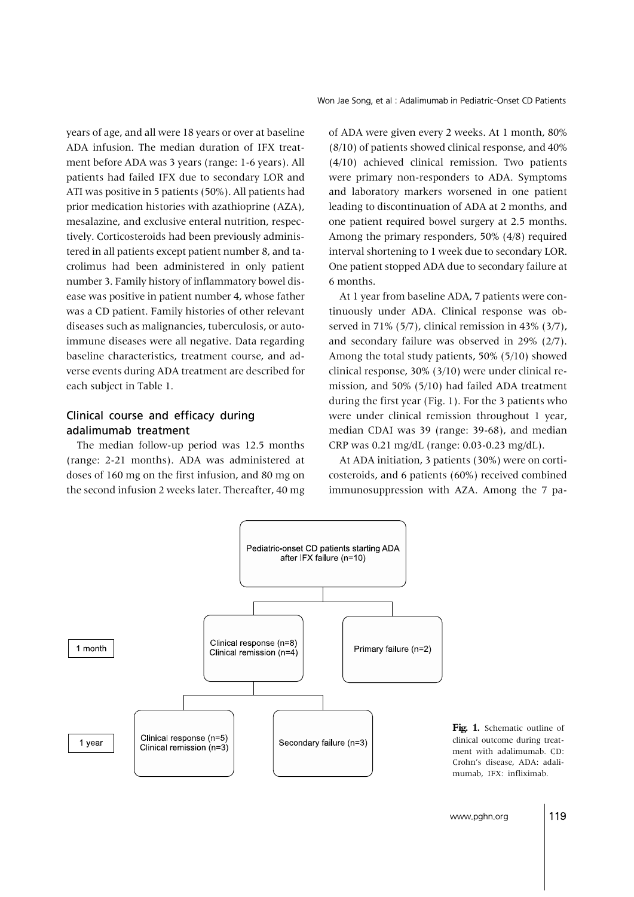Won Jae Song, et al: Adalimumab in Pediatric-Onset CD Patients

years of age, and all were 18 years or over at baseline ADA infusion. The median duration of IFX treatment before ADA was 3 years (range: 1-6 years). All patients had failed IFX due to secondary LOR and ATI was positive in 5 patients (50%). All patients had prior medication histories with azathioprine (AZA), mesalazine, and exclusive enteral nutrition, respectively. Corticosteroids had been previously administered in all patients except patient number 8, and tacrolimus had been administered in only patient number 3. Family history of inflammatory bowel disease was positive in patient number 4, whose father was a CD patient. Family histories of other relevant diseases such as malignancies, tuberculosis, or autoimmune diseases were all negative. Data regarding baseline characteristics, treatment course, and adverse events during ADA treatment are described for each subject in Table 1.

#### Clinical course and efficacy during adalimumab treatment

The median follow-up period was 12.5 months (range: 2-21 months). ADA was administered at doses of 160 mg on the first infusion, and 80 mg on the second infusion 2 weeks later. Thereafter, 40 mg of ADA were given every 2 weeks. At 1 month, 80% (8/10) of patients showed clinical response, and 40% (4/10) achieved clinical remission. Two patients were primary non-responders to ADA. Symptoms and laboratory markers worsened in one patient leading to discontinuation of ADA at 2 months, and one patient required bowel surgery at 2.5 months. Among the primary responders, 50% (4/8) required interval shortening to 1 week due to secondary LOR. One patient stopped ADA due to secondary failure at 6 months.

At 1 year from baseline ADA, 7 patients were continuously under ADA. Clinical response was observed in 71% (5/7), clinical remission in 43% (3/7), and secondary failure was observed in 29% (2/7). Among the total study patients, 50% (5/10) showed clinical response, 30% (3/10) were under clinical remission, and 50% (5/10) had failed ADA treatment during the first year (Fig. 1). For the 3 patients who were under clinical remission throughout 1 year, median CDAI was 39 (range: 39-68), and median CRP was 0.21 mg/dL (range: 0.03-0.23 mg/dL).

At ADA initiation, 3 patients (30%) were on corticosteroids, and 6 patients (60%) received combined immunosuppression with AZA. Among the 7 pa-



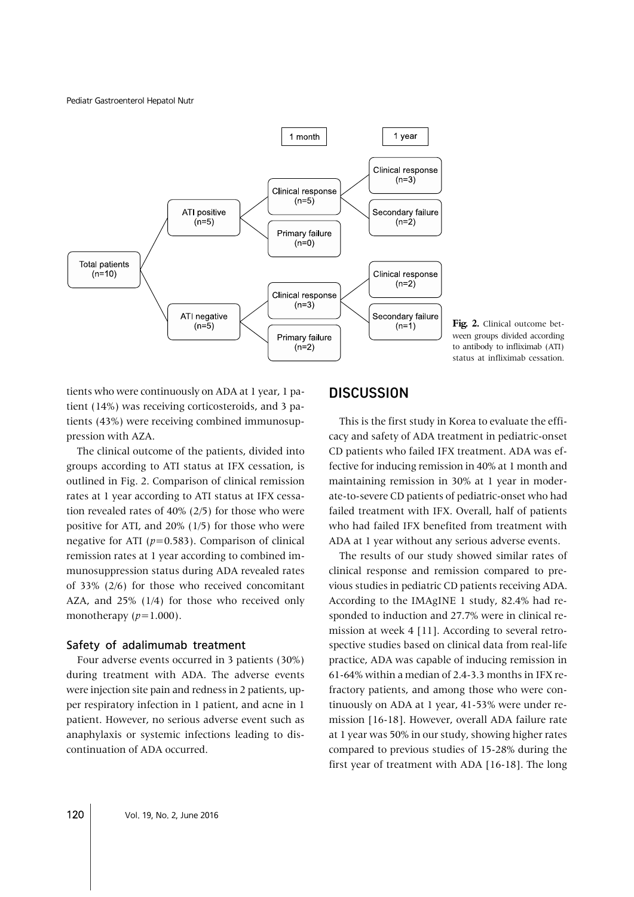Pediatr Gastroenterol Hepatol Nutr



Fig. 2. Clinical outcome between groups divided according to antibody to infliximab (ATI) status at infliximab cessation.

tients who were continuously on ADA at 1 year, 1 patient (14%) was receiving corticosteroids, and 3 patients (43%) were receiving combined immunosuppression with AZA.

The clinical outcome of the patients, divided into groups according to ATI status at IFX cessation, is outlined in Fig. 2. Comparison of clinical remission rates at 1 year according to ATI status at IFX cessation revealed rates of 40% (2/5) for those who were positive for ATI, and 20% (1/5) for those who were negative for ATI  $(p=0.583)$ . Comparison of clinical remission rates at 1 year according to combined immunosuppression status during ADA revealed rates of 33% (2/6) for those who received concomitant AZA, and 25% (1/4) for those who received only monotherapy  $(p=1.000)$ .

#### Safety of adalimumab treatment

Four adverse events occurred in 3 patients (30%) during treatment with ADA. The adverse events were injection site pain and redness in 2 patients, upper respiratory infection in 1 patient, and acne in 1 patient. However, no serious adverse event such as anaphylaxis or systemic infections leading to discontinuation of ADA occurred.

# **DISCUSSION**

This is the first study in Korea to evaluate the efficacy and safety of ADA treatment in pediatric-onset CD patients who failed IFX treatment. ADA was effective for inducing remission in 40% at 1 month and maintaining remission in 30% at 1 year in moderate-to-severe CD patients of pediatric-onset who had failed treatment with IFX. Overall, half of patients who had failed IFX benefited from treatment with ADA at 1 year without any serious adverse events.

The results of our study showed similar rates of clinical response and remission compared to previous studies in pediatric CD patients receiving ADA. According to the IMAgINE 1 study, 82.4% had responded to induction and 27.7% were in clinical remission at week 4 [11]. According to several retrospective studies based on clinical data from real-life practice, ADA was capable of inducing remission in 61-64% within a median of 2.4-3.3 months in IFX refractory patients, and among those who were continuously on ADA at 1 year, 41-53% were under remission [16-18]. However, overall ADA failure rate at 1 year was 50% in our study, showing higher rates compared to previous studies of 15-28% during the first year of treatment with ADA [16-18]. The long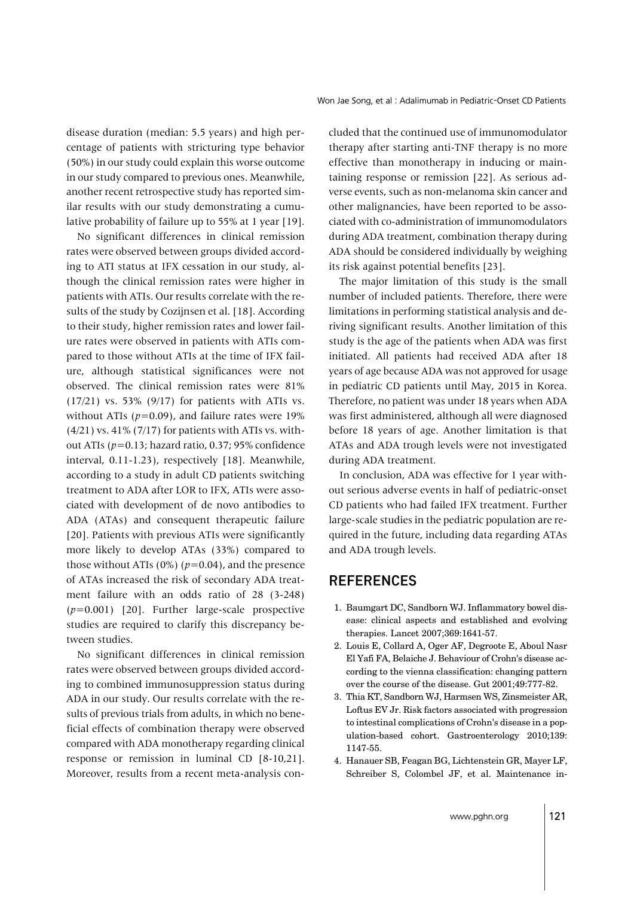disease duration (median: 5.5 years) and high percentage of patients with stricturing type behavior (50%) in our study could explain this worse outcome in our study compared to previous ones. Meanwhile, another recent retrospective study has reported similar results with our study demonstrating a cumulative probability of failure up to 55% at 1 year [19].

No significant differences in clinical remission rates were observed between groups divided according to ATI status at IFX cessation in our study, although the clinical remission rates were higher in patients with ATIs. Our results correlate with the results of the study by Cozijnsen et al. [18]. According to their study, higher remission rates and lower failure rates were observed in patients with ATIs compared to those without ATIs at the time of IFX failure, although statistical significances were not observed. The clinical remission rates were 81% (17/21) vs. 53% (9/17) for patients with ATIs vs. without ATIs ( $p=0.09$ ), and failure rates were 19%  $(4/21)$  vs.  $41\%$  (7/17) for patients with ATIs vs. without ATIs (*p*=0.13; hazard ratio, 0.37; 95% confidence interval, 0.11-1.23), respectively [18]. Meanwhile, according to a study in adult CD patients switching treatment to ADA after LOR to IFX, ATIs were associated with development of de novo antibodies to ADA (ATAs) and consequent therapeutic failure [20]. Patients with previous ATIs were significantly more likely to develop ATAs (33%) compared to those without ATIs ( $0\%$ ) ( $p=0.04$ ), and the presence of ATAs increased the risk of secondary ADA treatment failure with an odds ratio of 28 (3-248) (*p*=0.001) [20]. Further large-scale prospective studies are required to clarify this discrepancy between studies.

No significant differences in clinical remission rates were observed between groups divided according to combined immunosuppression status during ADA in our study. Our results correlate with the results of previous trials from adults, in which no beneficial effects of combination therapy were observed compared with ADA monotherapy regarding clinical response or remission in luminal CD [8-10,21]. Moreover, results from a recent meta-analysis con-

cluded that the continued use of immunomodulator therapy after starting anti-TNF therapy is no more effective than monotherapy in inducing or maintaining response or remission [22]. As serious adverse events, such as non-melanoma skin cancer and other malignancies, have been reported to be associated with co-administration of immunomodulators during ADA treatment, combination therapy during ADA should be considered individually by weighing its risk against potential benefits [23].

The major limitation of this study is the small number of included patients. Therefore, there were limitations in performing statistical analysis and deriving significant results. Another limitation of this study is the age of the patients when ADA was first initiated. All patients had received ADA after 18 years of age because ADA was not approved for usage in pediatric CD patients until May, 2015 in Korea. Therefore, no patient was under 18 years when ADA was first administered, although all were diagnosed before 18 years of age. Another limitation is that ATAs and ADA trough levels were not investigated during ADA treatment.

In conclusion, ADA was effective for 1 year without serious adverse events in half of pediatric-onset CD patients who had failed IFX treatment. Further large-scale studies in the pediatric population are required in the future, including data regarding ATAs and ADA trough levels.

## **REFERENCES**

- 1. Baumgart DC, Sandborn WJ. Inflammatory bowel disease: clinical aspects and established and evolving therapies. Lancet 2007;369:1641-57.
- 2. Louis E, Collard A, Oger AF, Degroote E, Aboul Nasr El Yafi FA, Belaiche J. Behaviour of Crohn's disease according to the vienna classification: changing pattern over the course of the disease. Gut 2001;49:777-82.
- 3. Thia KT, Sandborn WJ, Harmsen WS, Zinsmeister AR, Loftus EV Jr. Risk factors associated with progression to intestinal complications of Crohn's disease in a population-based cohort. Gastroenterology 2010;139: 1147-55.
- 4. Hanauer SB, Feagan BG, Lichtenstein GR, Mayer LF, Schreiber S, Colombel JF, et al. Maintenance in-